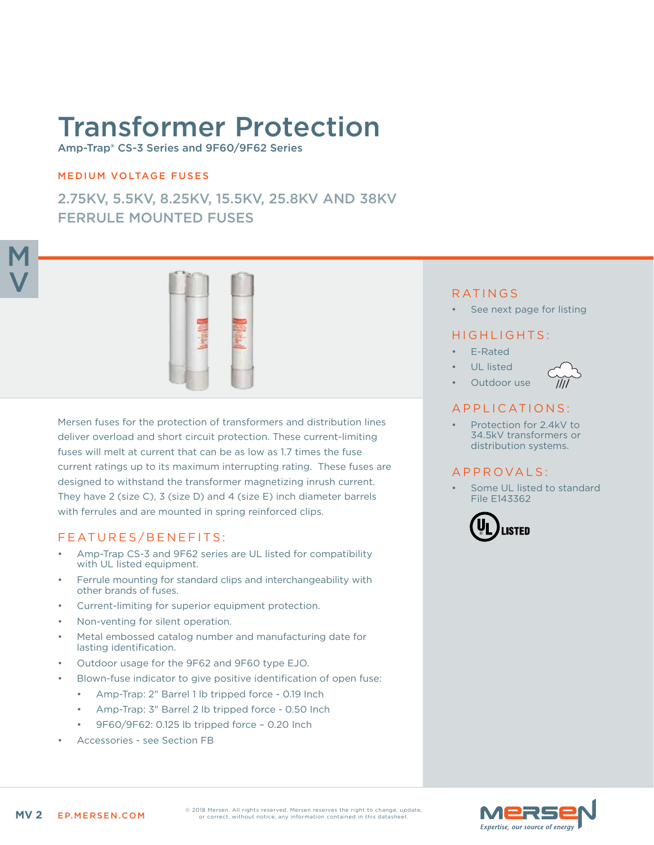# Transformer Protection

Amp-Trap® CS-3 Series and 9F60/9F62 Series

## MEDIUM VOLTAGE FUSES

2.75KV, 5.5KV, 8.25KV, 15.5KV, 25.8KV AND 38KV FERRULE MOUNTED FUSES



Mersen fuses for the protection of transformers and distribution lines deliver overload and short circuit protection. These current-limiting fuses will melt at current that can be as low as 1.7 times the fuse current ratings up to its maximum interrupting rating. These fuses are designed to withstand the transformer magnetizing inrush current. They have 2 (size C), 3 (size D) and 4 (size E) inch diameter barrels with ferrules and are mounted in spring reinforced clips.

## FEATURES/BENEFITS:

- Amp-Trap CS-3 and 9F62 series are UL listed for compatibility with UL listed equipment.
- Ferrule mounting for standard clips and interchangeability with other brands of fuses.
- Current-limiting for superior equipment protection.
- Non-venting for silent operation.
- Metal embossed catalog number and manufacturing date for lasting identification.
- Outdoor usage for the 9F62 and 9F60 type EJO.
- Blown-fuse indicator to give positive identification of open fuse:
	- Amp-Trap: 2" Barrel 1 lb tripped force 0.19 Inch
	- Amp-Trap: 3" Barrel 2 lb tripped force 0.50 Inch
	- 9F60/9F62: 0.125 lb tripped force 0.20 Inch
- Accessories see Section FB

## RATINGS

See next page for listing

## HIGHLIGHTS:

- E-Rated
- UL listed
- Outdoor use



## APPLICATIONS:

Protection for 2.4kV to 34.5kV transformers or distribution systems.

## A P P R O V A L S :

Some UL listed to standard File E143362



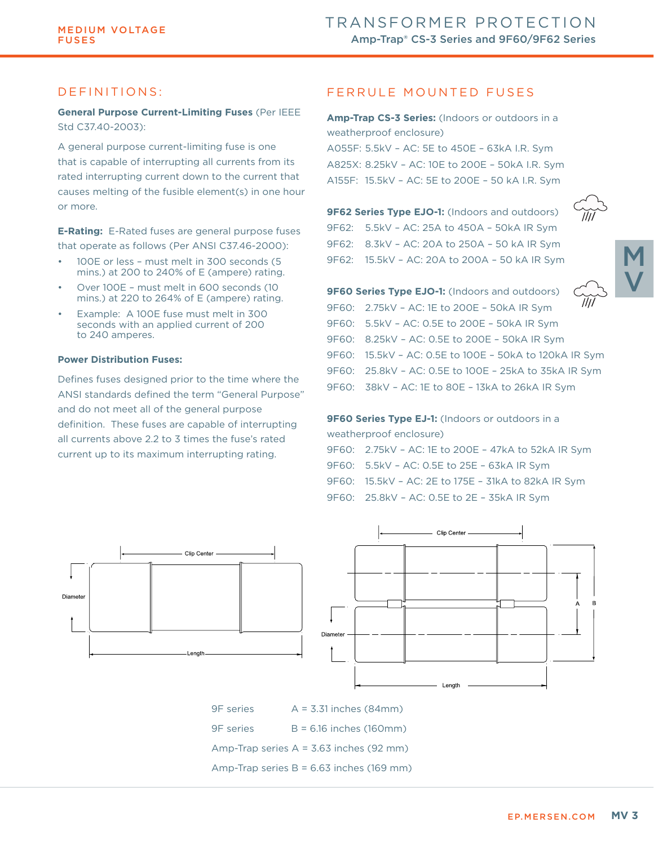## DEFINITIONS:

**General Purpose Current-Limiting Fuses** (Per IEEE Std C37.40-2003):

A general purpose current-limiting fuse is one that is capable of interrupting all currents from its rated interrupting current down to the current that causes melting of the fusible element(s) in one hour or more.

**E-Rating:** E-Rated fuses are general purpose fuses that operate as follows (Per ANSI C37.46-2000):

- 100E or less must melt in 300 seconds (5 mins.) at 200 to 240% of E (ampere) rating.
- Over 100E must melt in 600 seconds (10 mins.) at 220 to 264% of E (ampere) rating.
- Example: A 100E fuse must melt in 300 seconds with an applied current of 200 to 240 amperes.

#### **Power Distribution Fuses:**

Defines fuses designed prior to the time where the ANSI standards defined the term "General Purpose" and do not meet all of the general purpose definition. These fuses are capable of interrupting all currents above 2.2 to 3 times the fuse's rated current up to its maximum interrupting rating.

## FERRULE MOUNTED FUSES

**Amp-Trap CS-3 Series:** (Indoors or outdoors in a weatherproof enclosure) A055F: 5.5kV – AC: 5E to 450E – 63kA I.R. Sym A825X: 8.25kV – AC: 10E to 200E – 50kA I.R. Sym A155F: 15.5kV – AC: 5E to 200E – 50 kA I.R. Sym

**9F62 Series Type EJO-1:** (Indoors and outdoors) 9F62: 5.5kV – AC: 25A to 450A – 50kA IR Sym 9F62: 8.3kV – AC: 20A to 250A – 50 kA IR Sym 9F62: 15.5kV – AC: 20A to 200A – 50 kA IR Sym





| <b>9F60 Series Type EJO-1:</b> (Indoors and outdoors)  |                  |
|--------------------------------------------------------|------------------|
| 9F60: 2.75kV - AC: 1E to 200E - 50kA IR Sym            | $\overline{III}$ |
| 9F60: 5.5kV - AC: 0.5E to 200E - 50kA IR Sym           |                  |
| 9F60: 8.25kV - AC: 0.5E to 200E - 50kA IR Sym          |                  |
| 9F60: 15.5kV - AC: 0.5E to 100E - 50kA to 120kA IR Sym |                  |
| 9F60: 25.8kV - AC: 0.5E to 100E - 25kA to 35kA IR Sym  |                  |
| 9F60: 38kV - AC: 1E to 80E - 13kA to 26kA IR Sym       |                  |

## **9F60 Series Type EJ-1:** (Indoors or outdoors in a weatherproof enclosure) 9F60: 2.75kV – AC: 1E to 200E – 47kA to 52kA IR Sym 9F60: 5.5kV – AC: 0.5E to 25E – 63kA IR Sym

- 9F60: 15.5kV AC: 2E to 175E 31kA to 82kA IR Sym
- 9F60: 25.8kV AC: 0.5E to 2E 35kA IR Sym





9F series A = 3.31 inches (84mm) 9F series B = 6.16 inches (160mm) Amp-Trap series A = 3.63 inches (92 mm) Amp-Trap series B = 6.63 inches (169 mm)